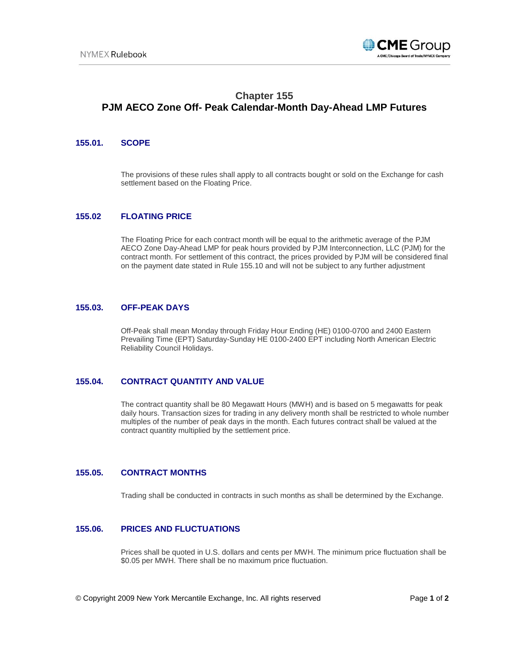

# **Chapter 155 PJM AECO Zone Off- Peak Calendar-Month Day-Ahead LMP Futures**

## **155.01. SCOPE**

The provisions of these rules shall apply to all contracts bought or sold on the Exchange for cash settlement based on the Floating Price.

## **155.02 FLOATING PRICE**

The Floating Price for each contract month will be equal to the arithmetic average of the PJM AECO Zone Day-Ahead LMP for peak hours provided by PJM Interconnection, LLC (PJM) for the contract month. For settlement of this contract, the prices provided by PJM will be considered final on the payment date stated in Rule 155.10 and will not be subject to any further adjustment

### **155.03. OFF-PEAK DAYS**

Off-Peak shall mean Monday through Friday Hour Ending (HE) 0100-0700 and 2400 Eastern Prevailing Time (EPT) Saturday-Sunday HE 0100-2400 EPT including North American Electric Reliability Council Holidays.

## **155.04. CONTRACT QUANTITY AND VALUE**

The contract quantity shall be 80 Megawatt Hours (MWH) and is based on 5 megawatts for peak daily hours. Transaction sizes for trading in any delivery month shall be restricted to whole number multiples of the number of peak days in the month. Each futures contract shall be valued at the contract quantity multiplied by the settlement price.

## **155.05. CONTRACT MONTHS**

Trading shall be conducted in contracts in such months as shall be determined by the Exchange.

### **155.06. PRICES AND FLUCTUATIONS**

Prices shall be quoted in U.S. dollars and cents per MWH. The minimum price fluctuation shall be \$0.05 per MWH. There shall be no maximum price fluctuation.